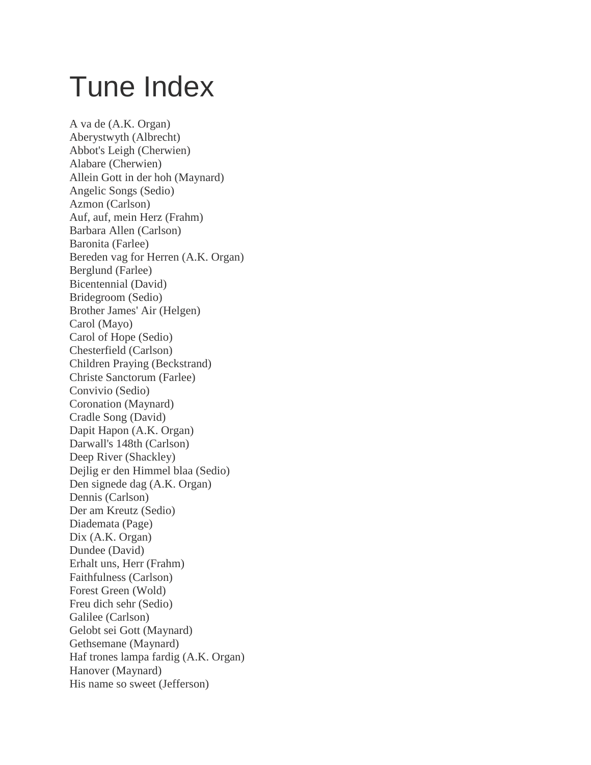## Tune Index

A va de (A.K. Organ) Aberystwyth (Albrecht) Abbot's Leigh (Cherwien) Alabare (Cherwien) Allein Gott in der hoh (Maynard) Angelic Songs (Sedio) Azmon (Carlson) Auf, auf, mein Herz (Frahm) Barbara Allen (Carlson) Baronita (Farlee) Bereden vag for Herren (A.K. Organ) Berglund (Farlee) Bicentennial (David) Bridegroom (Sedio) Brother James' Air (Helgen) Carol (Mayo) Carol of Hope (Sedio) Chesterfield (Carlson) Children Praying (Beckstrand) Christe Sanctorum (Farlee) Convivio (Sedio) Coronation (Maynard) Cradle Song (David) Dapit Hapon (A.K. Organ) Darwall's 148th (Carlson) Deep River (Shackley) Dejlig er den Himmel blaa (Sedio) Den signede dag (A.K. Organ) Dennis (Carlson) Der am Kreutz (Sedio) Diademata (Page) Dix (A.K. Organ) Dundee (David) Erhalt uns, Herr (Frahm) Faithfulness (Carlson) Forest Green (Wold) Freu dich sehr (Sedio) Galilee (Carlson) Gelobt sei Gott (Maynard) Gethsemane (Maynard) Haf trones lampa fardig (A.K. Organ) Hanover (Maynard) His name so sweet (Jefferson)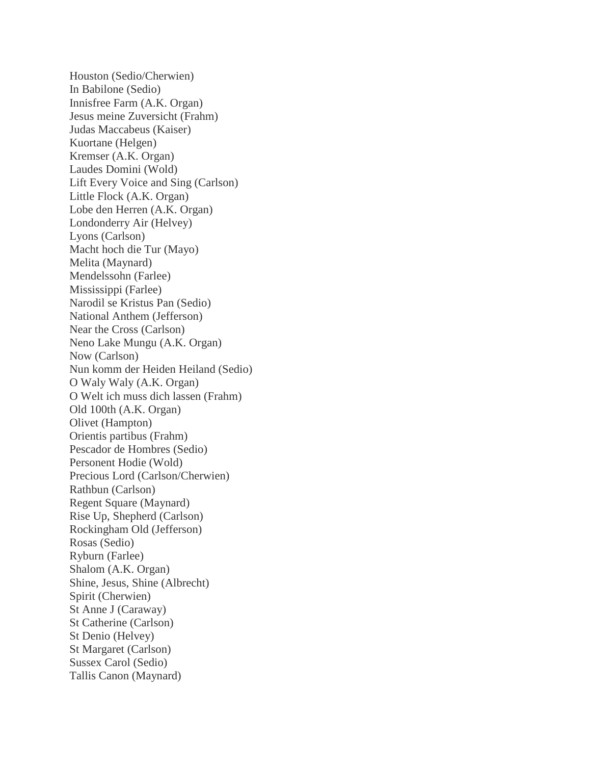Houston (Sedio/Cherwien) In Babilone (Sedio) Innisfree Farm (A.K. Organ) Jesus meine Zuversicht (Frahm) Judas Maccabeus (Kaiser) Kuortane (Helgen) Kremser (A.K. Organ) Laudes Domini (Wold) Lift Every Voice and Sing (Carlson) Little Flock (A.K. Organ) Lobe den Herren (A.K. Organ) Londonderry Air (Helvey) Lyons (Carlson) Macht hoch die Tur (Mayo) Melita (Maynard) Mendelssohn (Farlee) Mississippi (Farlee) Narodil se Kristus Pan (Sedio) National Anthem (Jefferson) Near the Cross (Carlson) Neno Lake Mungu (A.K. Organ) Now (Carlson) Nun komm der Heiden Heiland (Sedio) O Waly Waly (A.K. Organ) O Welt ich muss dich lassen (Frahm) Old 100th (A.K. Organ) Olivet (Hampton) Orientis partibus (Frahm) Pescador de Hombres (Sedio) Personent Hodie (Wold) Precious Lord (Carlson/Cherwien) Rathbun (Carlson) Regent Square (Maynard) Rise Up, Shepherd (Carlson) Rockingham Old (Jefferson) Rosas (Sedio) Ryburn (Farlee) Shalom (A.K. Organ) Shine, Jesus, Shine (Albrecht) Spirit (Cherwien) St Anne J (Caraway) St Catherine (Carlson) St Denio (Helvey) St Margaret (Carlson) Sussex Carol (Sedio) Tallis Canon (Maynard)